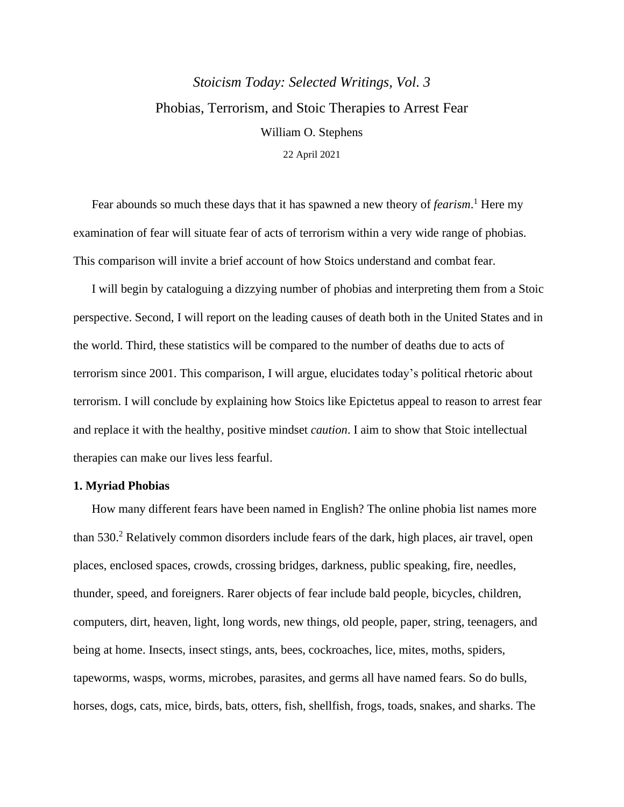# *Stoicism Today: Selected Writings, Vol. 3* Phobias, Terrorism, and Stoic Therapies to Arrest Fear William O. Stephens 22 April 2021

Fear abounds so much these days that it has spawned a new theory of *fearism*. <sup>1</sup> Here my examination of fear will situate fear of acts of terrorism within a very wide range of phobias. This comparison will invite a brief account of how Stoics understand and combat fear.

I will begin by cataloguing a dizzying number of phobias and interpreting them from a Stoic perspective. Second, I will report on the leading causes of death both in the United States and in the world. Third, these statistics will be compared to the number of deaths due to acts of terrorism since 2001. This comparison, I will argue, elucidates today's political rhetoric about terrorism. I will conclude by explaining how Stoics like Epictetus appeal to reason to arrest fear and replace it with the healthy, positive mindset *caution*. I aim to show that Stoic intellectual therapies can make our lives less fearful.

### **1. Myriad Phobias**

How many different fears have been named in English? The online phobia list names more than 530. <sup>2</sup> Relatively common disorders include fears of the dark, high places, air travel, open places, enclosed spaces, crowds, crossing bridges, darkness, public speaking, fire, needles, thunder, speed, and foreigners. Rarer objects of fear include bald people, bicycles, children, computers, dirt, heaven, light, long words, new things, old people, paper, string, teenagers, and being at home. Insects, insect stings, ants, bees, cockroaches, lice, mites, moths, spiders, tapeworms, wasps, worms, microbes, parasites, and germs all have named fears. So do bulls, horses, dogs, cats, mice, birds, bats, otters, fish, shellfish, frogs, toads, snakes, and sharks. The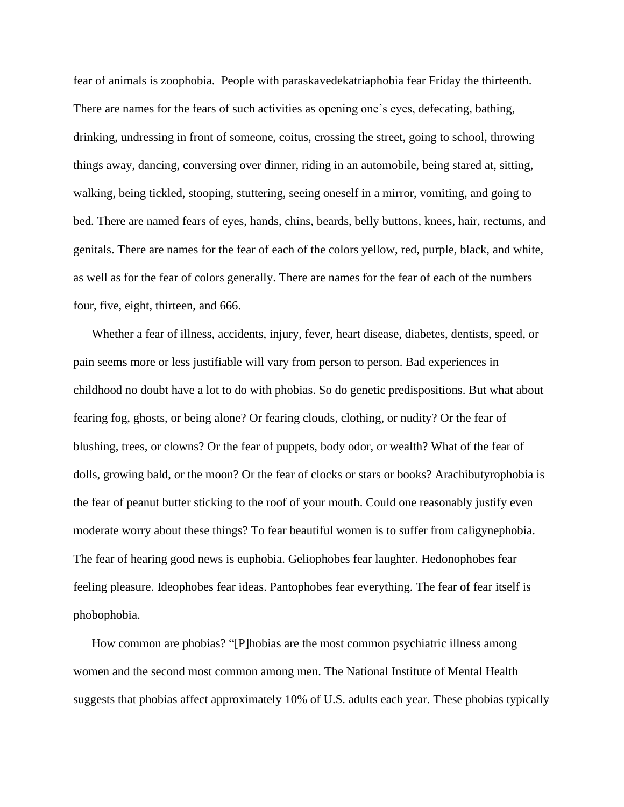fear of animals is zoophobia. People with paraskavedekatriaphobia fear Friday the thirteenth. There are names for the fears of such activities as opening one's eyes, defecating, bathing, drinking, undressing in front of someone, coitus, crossing the street, going to school, throwing things away, dancing, conversing over dinner, riding in an automobile, being stared at, sitting, walking, being tickled, stooping, stuttering, seeing oneself in a mirror, vomiting, and going to bed. There are named fears of eyes, hands, chins, beards, belly buttons, knees, hair, rectums, and genitals. There are names for the fear of each of the colors yellow, red, purple, black, and white, as well as for the fear of colors generally. There are names for the fear of each of the numbers four, five, eight, thirteen, and 666.

Whether a fear of illness, accidents, injury, fever, heart disease, diabetes, dentists, speed, or pain seems more or less justifiable will vary from person to person. Bad experiences in childhood no doubt have a lot to do with phobias. So do genetic predispositions. But what about fearing fog, ghosts, or being alone? Or fearing clouds, clothing, or nudity? Or the fear of blushing, trees, or clowns? Or the fear of puppets, body odor, or wealth? What of the fear of dolls, growing bald, or the moon? Or the fear of clocks or stars or books? Arachibutyrophobia is the fear of peanut butter sticking to the roof of your mouth. Could one reasonably justify even moderate worry about these things? To fear beautiful women is to suffer from caligynephobia. The fear of hearing good news is euphobia. Geliophobes fear laughter. Hedonophobes fear feeling pleasure. Ideophobes fear ideas. Pantophobes fear everything. The fear of fear itself is phobophobia.

How common are phobias? "[P]hobias are the most common psychiatric illness among women and the second most common among men. The National Institute of Mental Health suggests that phobias affect approximately 10% of U.S. adults each year. These phobias typically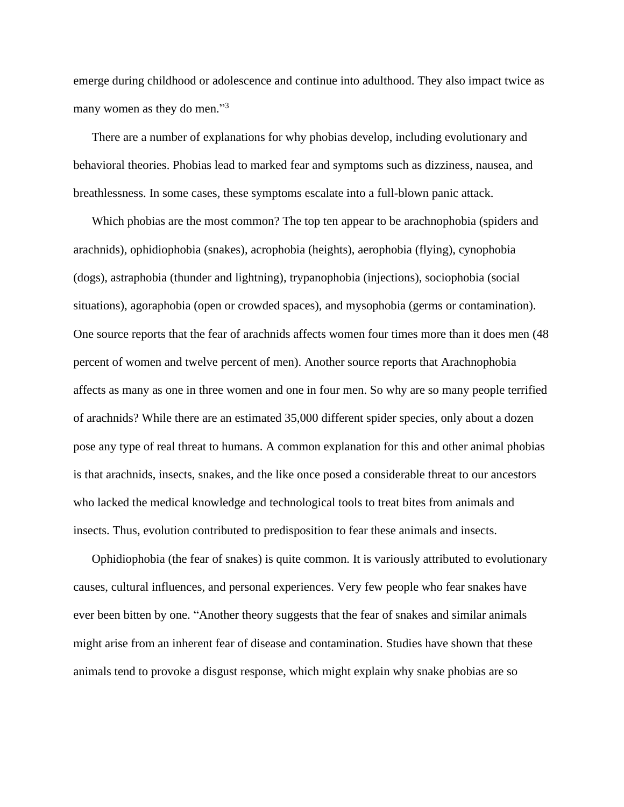emerge during childhood or adolescence and continue into adulthood. They also impact twice as many women as they do men."<sup>3</sup>

There are a number of explanations for why phobias develop, including evolutionary and behavioral theories. Phobias lead to marked fear and symptoms such as dizziness, nausea, and breathlessness. In some cases, these symptoms escalate into a full-blown panic attack.

Which phobias are the most common? The top ten appear to be arachnophobia (spiders and arachnids), ophidiophobia (snakes), acrophobia (heights), aerophobia (flying), cynophobia (dogs), astraphobia (thunder and lightning), trypanophobia (injections), sociophobia (social situations), agoraphobia (open or crowded spaces), and mysophobia (germs or contamination). One source reports that the fear of arachnids affects women four times more than it does men (48 percent of women and twelve percent of men). Another source reports that Arachnophobia affects as many as one in three women and one in four men. So why are so many people terrified of arachnids? While there are an estimated 35,000 different spider species, only about a dozen pose any type of real threat to humans. A common explanation for this and other animal phobias is that arachnids, insects, snakes, and the like once posed a considerable threat to our ancestors who lacked the medical knowledge and technological tools to treat bites from animals and insects. Thus, evolution contributed to predisposition to fear these animals and insects.

Ophidiophobia (the fear of snakes) is quite common. It is variously attributed to evolutionary causes, cultural influences, and personal experiences. Very few people who fear snakes have ever been bitten by one. "Another theory suggests that the fear of snakes and similar animals might arise from an inherent fear of disease and contamination. Studies have shown that these animals tend to provoke a disgust response, which might explain why snake phobias are so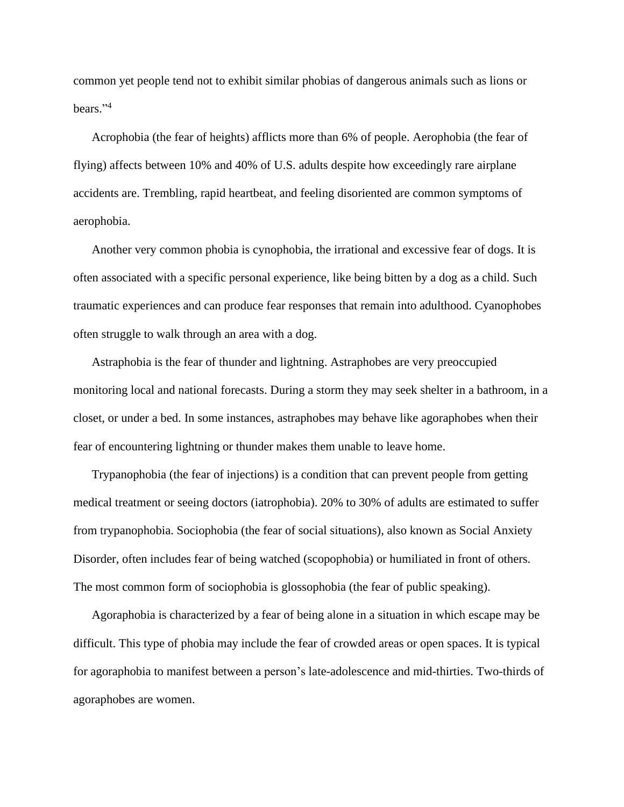common yet people tend not to exhibit similar phobias of dangerous animals such as lions or bears." 4

Acrophobia (the fear of heights) afflicts more than 6% of people. Aerophobia (the fear of flying) affects between 10% and 40% of U.S. adults despite how exceedingly rare airplane accidents are. Trembling, rapid heartbeat, and feeling disoriented are common symptoms of aerophobia.

Another very common phobia is cynophobia, the irrational and excessive fear of dogs. It is often associated with a specific personal experience, like being bitten by a dog as a child. Such traumatic experiences and can produce fear responses that remain into adulthood. Cyanophobes often struggle to walk through an area with a dog.

Astraphobia is the fear of thunder and lightning. Astraphobes are very preoccupied monitoring local and national forecasts. During a storm they may seek shelter in a bathroom, in a closet, or under a bed. In some instances, astraphobes may behave like agoraphobes when their fear of encountering lightning or thunder makes them unable to leave home.

Trypanophobia (the fear of injections) is a condition that can prevent people from getting medical treatment or seeing doctors (iatrophobia). 20% to 30% of adults are estimated to suffer from trypanophobia. Sociophobia (the fear of social situations), also known as Social Anxiety Disorder, often includes fear of being watched (scopophobia) or humiliated in front of others. The most common form of sociophobia is glossophobia (the fear of public speaking).

Agoraphobia is characterized by a fear of being alone in a situation in which escape may be difficult. This type of phobia may include the fear of crowded areas or open spaces. It is typical for agoraphobia to manifest between a person's late-adolescence and mid-thirties. Two-thirds of agoraphobes are women.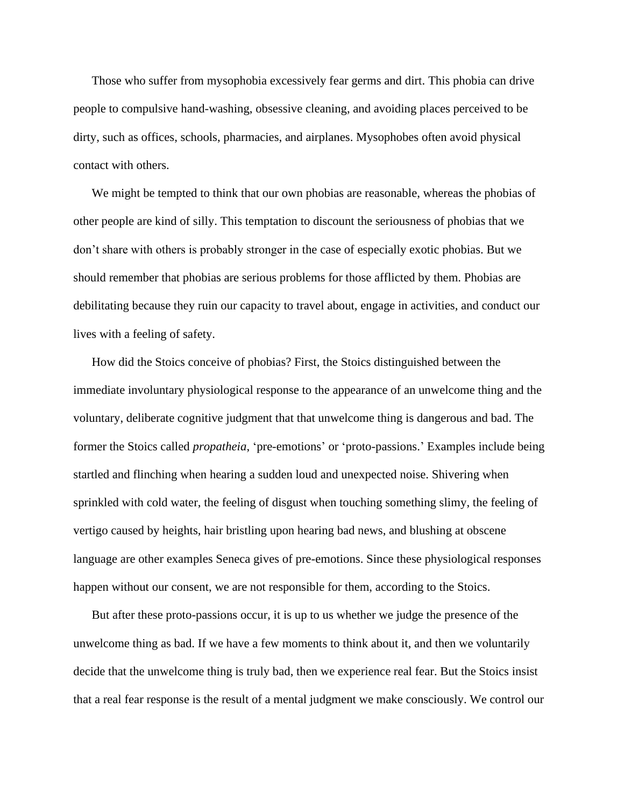Those who suffer from mysophobia excessively fear germs and dirt. This phobia can drive people to compulsive hand-washing, obsessive cleaning, and avoiding places perceived to be dirty, such as offices, schools, pharmacies, and airplanes. Mysophobes often avoid physical contact with others.

We might be tempted to think that our own phobias are reasonable, whereas the phobias of other people are kind of silly. This temptation to discount the seriousness of phobias that we don't share with others is probably stronger in the case of especially exotic phobias. But we should remember that phobias are serious problems for those afflicted by them. Phobias are debilitating because they ruin our capacity to travel about, engage in activities, and conduct our lives with a feeling of safety.

How did the Stoics conceive of phobias? First, the Stoics distinguished between the immediate involuntary physiological response to the appearance of an unwelcome thing and the voluntary, deliberate cognitive judgment that that unwelcome thing is dangerous and bad. The former the Stoics called *propatheia*, 'pre-emotions' or 'proto-passions.' Examples include being startled and flinching when hearing a sudden loud and unexpected noise. Shivering when sprinkled with cold water, the feeling of disgust when touching something slimy, the feeling of vertigo caused by heights, hair bristling upon hearing bad news, and blushing at obscene language are other examples Seneca gives of pre-emotions. Since these physiological responses happen without our consent, we are not responsible for them, according to the Stoics.

But after these proto-passions occur, it is up to us whether we judge the presence of the unwelcome thing as bad. If we have a few moments to think about it, and then we voluntarily decide that the unwelcome thing is truly bad, then we experience real fear. But the Stoics insist that a real fear response is the result of a mental judgment we make consciously. We control our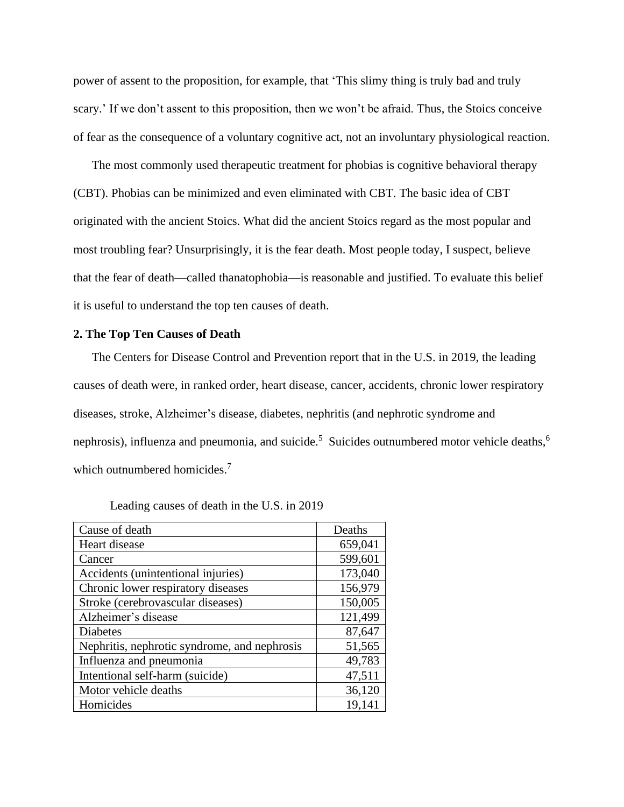power of assent to the proposition, for example, that 'This slimy thing is truly bad and truly scary.' If we don't assent to this proposition, then we won't be afraid. Thus, the Stoics conceive of fear as the consequence of a voluntary cognitive act, not an involuntary physiological reaction.

The most commonly used therapeutic treatment for phobias is cognitive behavioral therapy (CBT). Phobias can be minimized and even eliminated with CBT. The basic idea of CBT originated with the ancient Stoics. What did the ancient Stoics regard as the most popular and most troubling fear? Unsurprisingly, it is the fear death. Most people today, I suspect, believe that the fear of death—called thanatophobia—is reasonable and justified. To evaluate this belief it is useful to understand the top ten causes of death.

## **2. The Top Ten Causes of Death**

The Centers for Disease Control and Prevention report that in the U.S. in 2019, the leading causes of death were, in ranked order, heart disease, cancer, accidents, chronic lower respiratory diseases, stroke, Alzheimer's disease, diabetes, nephritis (and nephrotic syndrome and nephrosis), influenza and pneumonia, and suicide.<sup>5</sup> Suicides outnumbered motor vehicle deaths,<sup>6</sup> which outnumbered homicides.<sup>7</sup>

| Cause of death                               | Deaths  |
|----------------------------------------------|---------|
| Heart disease                                | 659,041 |
| Cancer                                       | 599,601 |
| Accidents (unintentional injuries)           | 173,040 |
| Chronic lower respiratory diseases           | 156,979 |
| Stroke (cerebrovascular diseases)            | 150,005 |
| Alzheimer's disease                          | 121,499 |
| Diabetes                                     | 87,647  |
| Nephritis, nephrotic syndrome, and nephrosis | 51,565  |
| Influenza and pneumonia                      | 49,783  |
| Intentional self-harm (suicide)              | 47,511  |
| Motor vehicle deaths                         | 36,120  |
| Homicides                                    | 19,141  |

Leading causes of death in the U.S. in 2019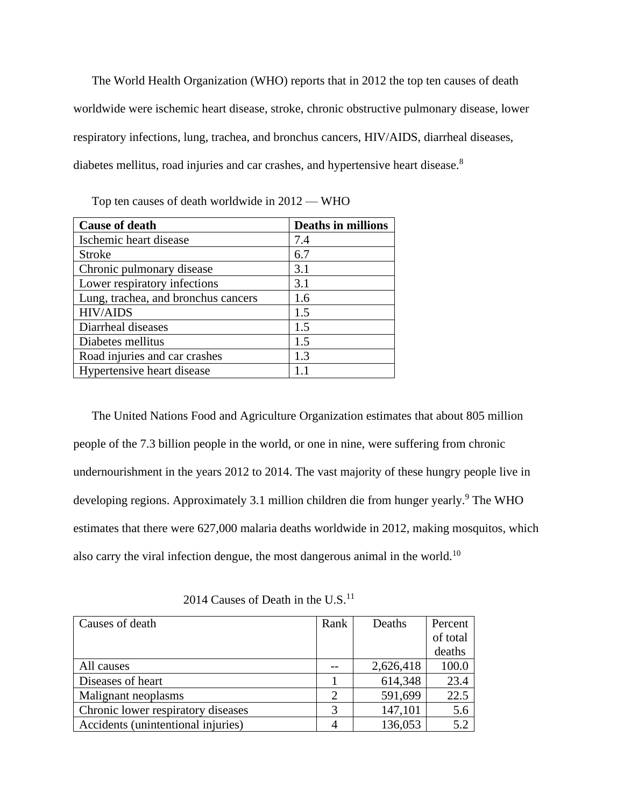The World Health Organization (WHO) reports that in 2012 the top ten causes of death worldwide were ischemic heart disease, stroke, chronic obstructive pulmonary disease, lower respiratory infections, lung, trachea, and bronchus cancers, HIV/AIDS, diarrheal diseases, diabetes mellitus, road injuries and car crashes, and hypertensive heart disease.<sup>8</sup>

| <b>Cause of death</b>               | <b>Deaths in millions</b> |
|-------------------------------------|---------------------------|
| Ischemic heart disease              | 7.4                       |
| <b>Stroke</b>                       | 6.7                       |
| Chronic pulmonary disease           | 3.1                       |
| Lower respiratory infections        | 3.1                       |
| Lung, trachea, and bronchus cancers | 1.6                       |
| <b>HIV/AIDS</b>                     | 1.5                       |
| Diarrheal diseases                  | 1.5                       |
| Diabetes mellitus                   | 1.5                       |
| Road injuries and car crashes       | 1.3                       |
| Hypertensive heart disease          |                           |

Top ten causes of death worldwide in 2012 — WHO

The United Nations Food and Agriculture Organization estimates that about 805 million people of the 7.3 billion people in the world, or one in nine, were suffering from chronic undernourishment in the years 2012 to 2014. The vast majority of these hungry people live in developing regions. Approximately 3.1 million children die from hunger yearly. <sup>9</sup> The WHO estimates that there were 627,000 malaria deaths worldwide in 2012, making mosquitos, which also carry the viral infection dengue, the most dangerous animal in the world.<sup>10</sup>

| Causes of death                    | Rank                        | Deaths    | Percent  |
|------------------------------------|-----------------------------|-----------|----------|
|                                    |                             |           | of total |
|                                    |                             |           | deaths   |
| All causes                         |                             | 2,626,418 | 100.0    |
| Diseases of heart                  |                             | 614,348   | 23.4     |
| Malignant neoplasms                | $\mathcal{D}_{\mathcal{L}}$ | 591,699   | 22.5     |
| Chronic lower respiratory diseases | 3                           | 147,101   | 5.6      |
| Accidents (unintentional injuries) |                             | 136,053   | 5.2      |

2014 Causes of Death in the U.S. $<sup>11</sup>$ </sup>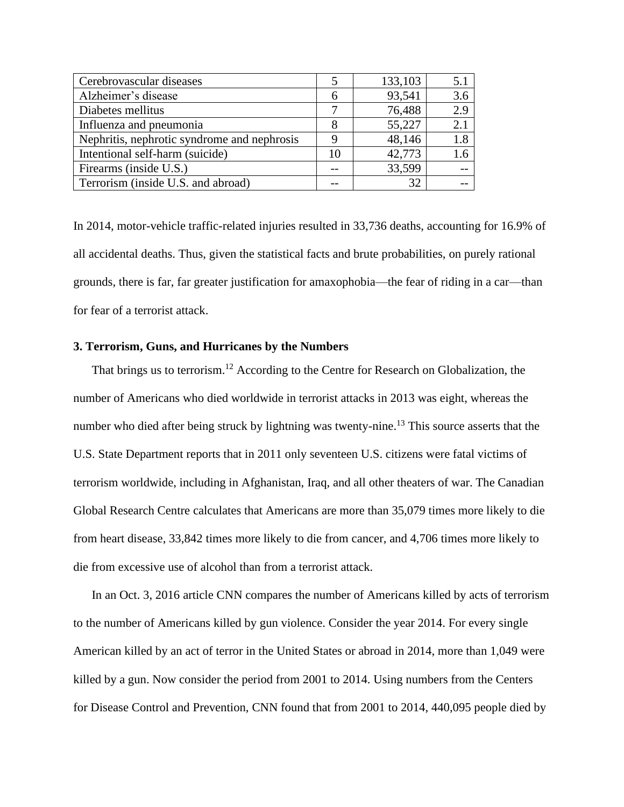| Cerebrovascular diseases                    |    | 133,103 |     |
|---------------------------------------------|----|---------|-----|
| Alzheimer's disease                         | 6  | 93,541  | 3.6 |
| Diabetes mellitus                           |    | 76,488  | 2.9 |
| Influenza and pneumonia                     |    | 55,227  | 2.1 |
| Nephritis, nephrotic syndrome and nephrosis |    | 48,146  | 1.8 |
| Intentional self-harm (suicide)             | 10 | 42,773  | 1.6 |
| Firearms (inside U.S.)                      |    | 33,599  |     |
| Terrorism (inside U.S. and abroad)          |    | 32      |     |

In 2014, motor-vehicle traffic-related injuries resulted in 33,736 deaths, accounting for 16.9% of all accidental deaths. Thus, given the statistical facts and brute probabilities, on purely rational grounds, there is far, far greater justification for amaxophobia—the fear of riding in a car—than for fear of a terrorist attack.

## **3. Terrorism, Guns, and Hurricanes by the Numbers**

That brings us to terrorism.<sup>12</sup> According to the Centre for Research on Globalization, the number of Americans who died worldwide in terrorist attacks in 2013 was eight, whereas the number who died after being struck by lightning was twenty-nine.<sup>13</sup> This source asserts that the U.S. State Department reports that in 2011 only seventeen U.S. citizens were fatal victims of terrorism worldwide, including in Afghanistan, Iraq, and all other theaters of war. The Canadian Global Research Centre calculates that Americans are more than 35,079 times more likely to die from heart disease, 33,842 times more likely to die from cancer, and 4,706 times more likely to die from excessive use of alcohol than from a terrorist attack.

In an Oct. 3, 2016 article CNN compares the number of Americans killed by acts of terrorism to the number of Americans killed by gun violence. Consider the year 2014. For every single American killed by an act of terror in the United States or abroad in 2014, more than 1,049 were killed by a gun. Now consider the period from 2001 to 2014. Using numbers from the Centers for Disease Control and Prevention, CNN found that from 2001 to 2014, 440,095 people died by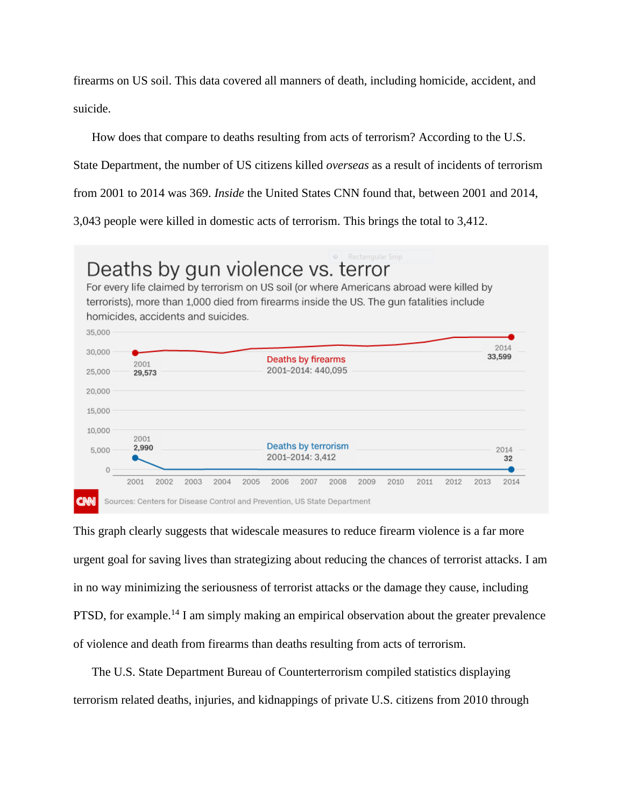firearms on US soil. This data covered all manners of death, including homicide, accident, and suicide.

How does that compare to deaths resulting from acts of terrorism? According to the U.S.

State Department, the number of US citizens killed *overseas* as a result of incidents of terrorism

from 2001 to 2014 was 369. *Inside* the United States CNN found that, between 2001 and 2014,

3,043 people were killed in domestic acts of terrorism. This brings the total to 3,412.



This graph clearly suggests that widescale measures to reduce firearm violence is a far more urgent goal for saving lives than strategizing about reducing the chances of terrorist attacks. I am in no way minimizing the seriousness of terrorist attacks or the damage they cause, including PTSD, for example.<sup>14</sup> I am simply making an empirical observation about the greater prevalence of violence and death from firearms than deaths resulting from acts of terrorism.

The U.S. State Department Bureau of Counterterrorism compiled statistics displaying terrorism related deaths, injuries, and kidnappings of private U.S. citizens from 2010 through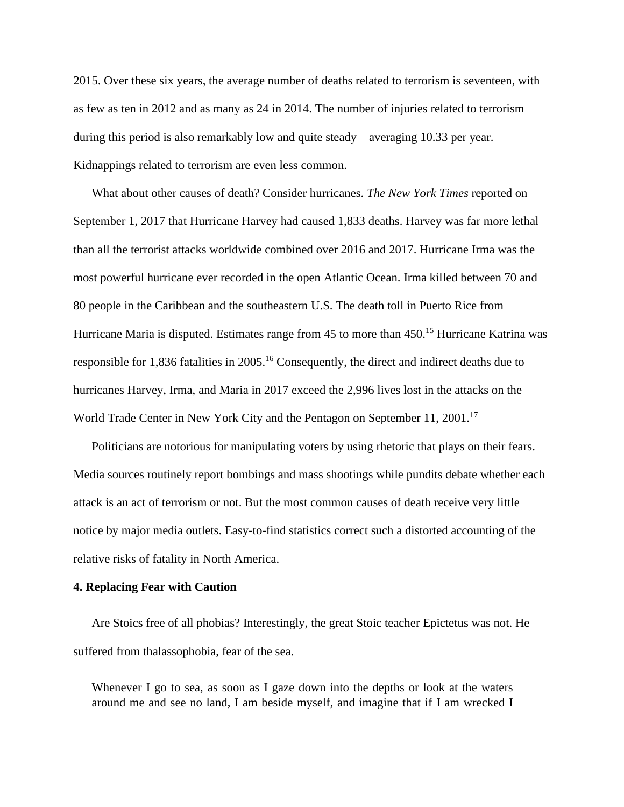2015. Over these six years, the average number of deaths related to terrorism is seventeen, with as few as ten in 2012 and as many as 24 in 2014. The number of injuries related to terrorism during this period is also remarkably low and quite steady—averaging 10.33 per year. Kidnappings related to terrorism are even less common.

What about other causes of death? Consider hurricanes. *The New York Times* reported on September 1, 2017 that Hurricane Harvey had caused 1,833 deaths. Harvey was far more lethal than all the terrorist attacks worldwide combined over 2016 and 2017. Hurricane Irma was the most powerful hurricane ever recorded in the open Atlantic Ocean. Irma killed between 70 and 80 people in the Caribbean and the southeastern U.S. The death toll in Puerto Rice from Hurricane Maria is disputed. Estimates range from 45 to more than 450.<sup>15</sup> Hurricane Katrina was responsible for 1,836 fatalities in 2005.<sup>16</sup> Consequently, the direct and indirect deaths due to hurricanes Harvey, Irma, and Maria in 2017 exceed the 2,996 lives lost in the attacks on the World Trade Center in New York City and the Pentagon on September 11, 2001.<sup>17</sup>

Politicians are notorious for manipulating voters by using rhetoric that plays on their fears. Media sources routinely report bombings and mass shootings while pundits debate whether each attack is an act of terrorism or not. But the most common causes of death receive very little notice by major media outlets. Easy-to-find statistics correct such a distorted accounting of the relative risks of fatality in North America.

#### **4. Replacing Fear with Caution**

Are Stoics free of all phobias? Interestingly, the great Stoic teacher Epictetus was not. He suffered from thalassophobia, fear of the sea.

Whenever I go to sea, as soon as I gaze down into the depths or look at the waters around me and see no land, I am beside myself, and imagine that if I am wrecked I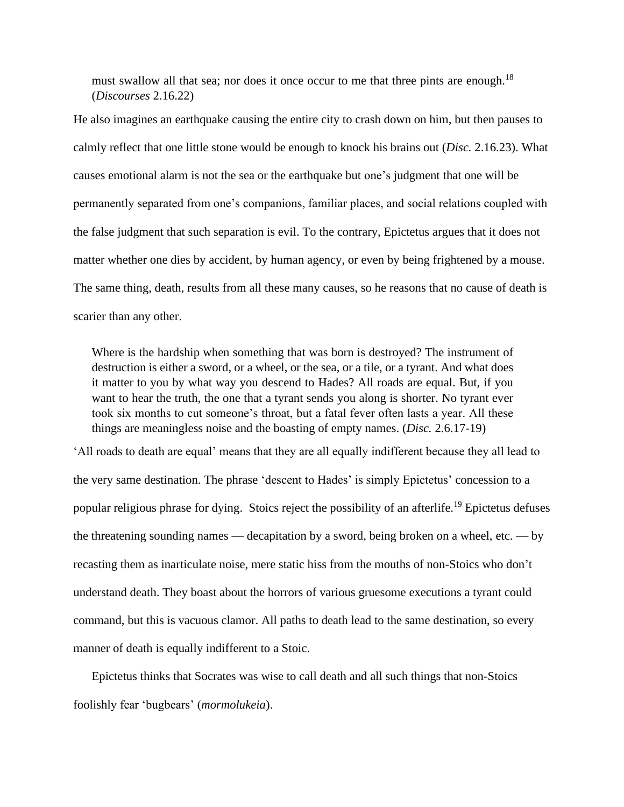must swallow all that sea; nor does it once occur to me that three pints are enough.<sup>18</sup> (*Discourses* 2.16.22)

He also imagines an earthquake causing the entire city to crash down on him, but then pauses to calmly reflect that one little stone would be enough to knock his brains out (*Disc.* 2.16.23). What causes emotional alarm is not the sea or the earthquake but one's judgment that one will be permanently separated from one's companions, familiar places, and social relations coupled with the false judgment that such separation is evil. To the contrary, Epictetus argues that it does not matter whether one dies by accident, by human agency, or even by being frightened by a mouse. The same thing, death, results from all these many causes, so he reasons that no cause of death is scarier than any other.

Where is the hardship when something that was born is destroyed? The instrument of destruction is either a sword, or a wheel, or the sea, or a tile, or a tyrant. And what does it matter to you by what way you descend to Hades? All roads are equal. But, if you want to hear the truth, the one that a tyrant sends you along is shorter. No tyrant ever took six months to cut someone's throat, but a fatal fever often lasts a year. All these things are meaningless noise and the boasting of empty names. (*Disc.* 2.6.17-19)

'All roads to death are equal' means that they are all equally indifferent because they all lead to the very same destination. The phrase 'descent to Hades' is simply Epictetus' concession to a popular religious phrase for dying. Stoics reject the possibility of an afterlife.<sup>19</sup> Epictetus defuses the threatening sounding names — decapitation by a sword, being broken on a wheel, etc. — by recasting them as inarticulate noise, mere static hiss from the mouths of non-Stoics who don't understand death. They boast about the horrors of various gruesome executions a tyrant could command, but this is vacuous clamor. All paths to death lead to the same destination, so every manner of death is equally indifferent to a Stoic.

Epictetus thinks that Socrates was wise to call death and all such things that non-Stoics foolishly fear 'bugbears' (*mormolukeia*).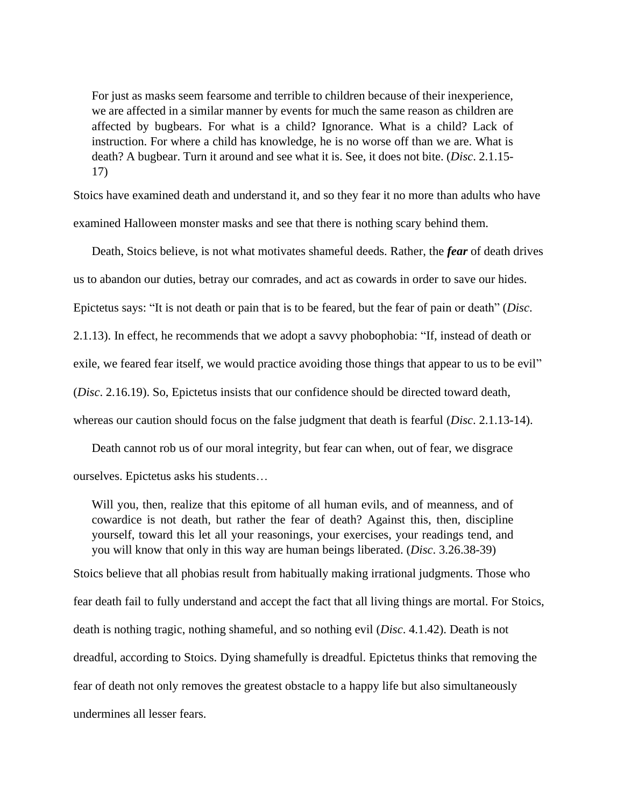For just as masks seem fearsome and terrible to children because of their inexperience, we are affected in a similar manner by events for much the same reason as children are affected by bugbears. For what is a child? Ignorance. What is a child? Lack of instruction. For where a child has knowledge, he is no worse off than we are. What is death? A bugbear. Turn it around and see what it is. See, it does not bite. (*Disc*. 2.1.15- 17)

Stoics have examined death and understand it, and so they fear it no more than adults who have examined Halloween monster masks and see that there is nothing scary behind them.

Death, Stoics believe, is not what motivates shameful deeds. Rather, the *fear* of death drives us to abandon our duties, betray our comrades, and act as cowards in order to save our hides. Epictetus says: "It is not death or pain that is to be feared, but the fear of pain or death" (*Disc*. 2.1.13). In effect, he recommends that we adopt a savvy phobophobia: "If, instead of death or exile, we feared fear itself, we would practice avoiding those things that appear to us to be evil" (*Disc*. 2.16.19). So, Epictetus insists that our confidence should be directed toward death, whereas our caution should focus on the false judgment that death is fearful (*Disc*. 2.1.13-14).

Death cannot rob us of our moral integrity, but fear can when, out of fear, we disgrace ourselves. Epictetus asks his students…

Will you, then, realize that this epitome of all human evils, and of meanness, and of cowardice is not death, but rather the fear of death? Against this, then, discipline yourself, toward this let all your reasonings, your exercises, your readings tend, and you will know that only in this way are human beings liberated. (*Disc*. 3.26.38-39)

Stoics believe that all phobias result from habitually making irrational judgments. Those who fear death fail to fully understand and accept the fact that all living things are mortal. For Stoics, death is nothing tragic, nothing shameful, and so nothing evil (*Disc*. 4.1.42). Death is not dreadful, according to Stoics. Dying shamefully is dreadful. Epictetus thinks that removing the fear of death not only removes the greatest obstacle to a happy life but also simultaneously undermines all lesser fears.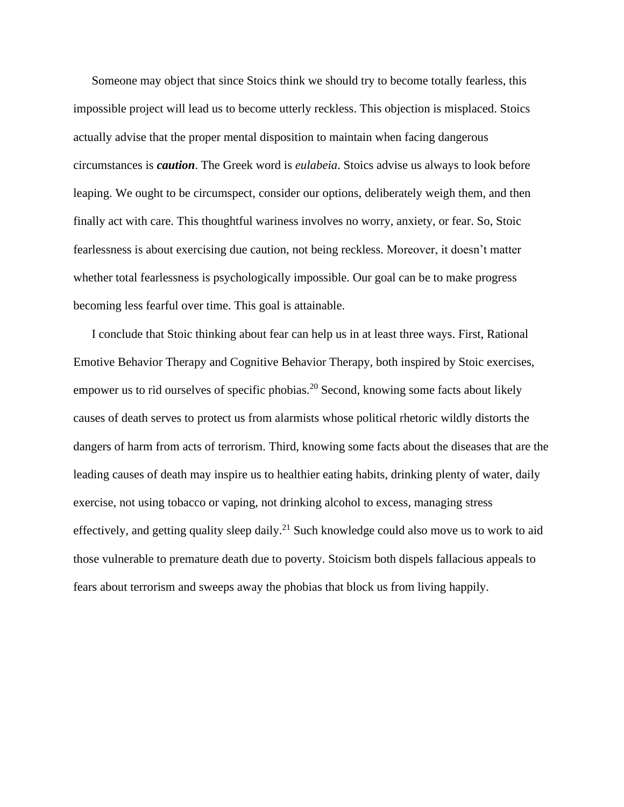Someone may object that since Stoics think we should try to become totally fearless, this impossible project will lead us to become utterly reckless. This objection is misplaced. Stoics actually advise that the proper mental disposition to maintain when facing dangerous circumstances is *caution*. The Greek word is *eulabeia*. Stoics advise us always to look before leaping. We ought to be circumspect, consider our options, deliberately weigh them, and then finally act with care. This thoughtful wariness involves no worry, anxiety, or fear. So, Stoic fearlessness is about exercising due caution, not being reckless. Moreover, it doesn't matter whether total fearlessness is psychologically impossible. Our goal can be to make progress becoming less fearful over time. This goal is attainable.

I conclude that Stoic thinking about fear can help us in at least three ways. First, Rational Emotive Behavior Therapy and Cognitive Behavior Therapy, both inspired by Stoic exercises, empower us to rid ourselves of specific phobias.<sup>20</sup> Second, knowing some facts about likely causes of death serves to protect us from alarmists whose political rhetoric wildly distorts the dangers of harm from acts of terrorism. Third, knowing some facts about the diseases that are the leading causes of death may inspire us to healthier eating habits, drinking plenty of water, daily exercise, not using tobacco or vaping, not drinking alcohol to excess, managing stress effectively, and getting quality sleep daily.<sup>21</sup> Such knowledge could also move us to work to aid those vulnerable to premature death due to poverty. Stoicism both dispels fallacious appeals to fears about terrorism and sweeps away the phobias that block us from living happily.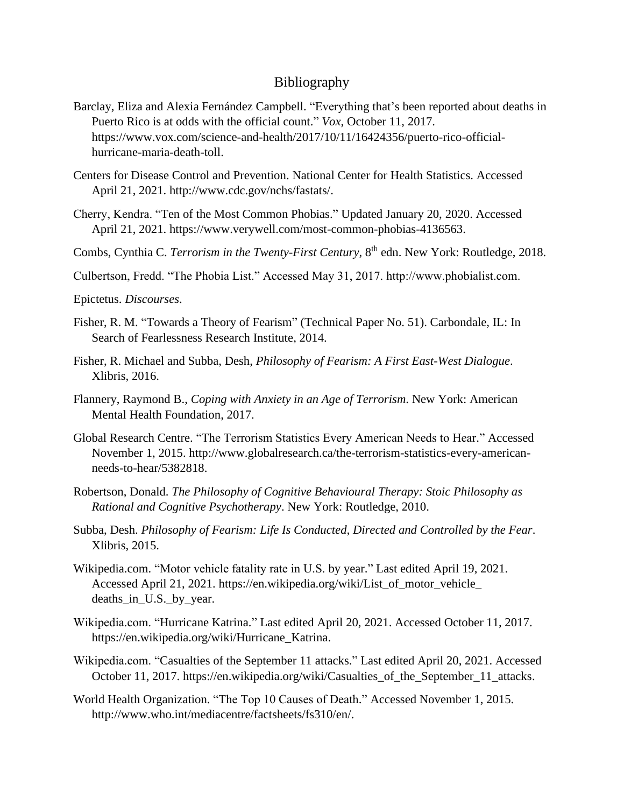## Bibliography

- Barclay, Eliza and [Alexia Fernández Campbell.](https://www.vox.com/authors/alexia-fernandez-campbell) "Everything that's been reported about deaths in Puerto Rico is at odds with the official count." *Vox*, October 11, 2017. [https://www.vox.com/science-and-health/2017/10/11/16424356/puerto-rico-official](https://www.vox.com/science-and-health/2017/10/11/16424356/puerto-rico-official-hurricane-maria-death-toll)[hurricane-maria-death-toll.](https://www.vox.com/science-and-health/2017/10/11/16424356/puerto-rico-official-hurricane-maria-death-toll)
- Centers for Disease Control and Prevention. National Center for Health Statistics. Accessed April 21, 2021. [http://www.cdc.gov/nchs/fastats/.](http://www.cdc.gov/nchs/fastats/)
- Cherry, Kendra. "Ten of the Most Common Phobias." Updated January 20, 2020. Accessed April 21, 2021. [https://www.verywell.com/most-common-phobias-4136563.](https://www.verywell.com/most-common-phobias-4136563)
- Combs, Cynthia C. *Terrorism in the Twenty-First Century*, 8<sup>th</sup> edn. New York: Routledge, 2018.
- Culbertson, Fredd. "The Phobia List." Accessed May 31, 2017. http://www.phobialist.com.
- Epictetus. *Discourses*.
- Fisher, R. M. "Towards a Theory of Fearism" (Technical Paper No. 51). Carbondale, IL: In Search of Fearlessness Research Institute, 2014.
- Fisher, R. Michael and Subba, Desh, *Philosophy of Fearism: A First East-West Dialogue*. Xlibris, 2016.
- Flannery, Raymond B., *Coping with Anxiety in an Age of Terrorism*. New York: American Mental Health Foundation, 2017.
- Global Research Centre. "The Terrorism Statistics Every American Needs to Hear." Accessed November 1, 2015. [http://www.globalresearch.ca/the-terrorism-statistics-every-american](http://www.globalresearch.ca/the-terrorism-statistics-every-american-needs-to-hear/5382818)[needs-to-hear/5382818.](http://www.globalresearch.ca/the-terrorism-statistics-every-american-needs-to-hear/5382818)
- Robertson, Donald. *The Philosophy of Cognitive Behavioural Therapy: Stoic Philosophy as Rational and Cognitive Psychotherapy*. New York: Routledge, 2010.
- Subba, Desh. *Philosophy of Fearism: Life Is Conducted, Directed and Controlled by the Fear*. Xlibris, 2015.
- Wikipedia.com. "Motor vehicle fatality rate in U.S. by year." Last edited April 19, 2021. Accessed April 21, 2021. [https://en.wikipedia.org/wiki/List\\_of\\_motor\\_vehicle\\_](https://en.wikipedia.org/wiki/List_of_motor_vehicle_%20deaths_in_U.S._by_year)  [deaths\\_in\\_U.S.\\_by\\_year.](https://en.wikipedia.org/wiki/List_of_motor_vehicle_%20deaths_in_U.S._by_year)
- Wikipedia.com. "Hurricane Katrina." Last edited April 20, 2021. Accessed October 11, 2017. [https://en.wikipedia.org/wiki/Hurricane\\_Katrina.](https://en.wikipedia.org/wiki/Hurricane_Katrina)
- Wikipedia.com. "Casualties of the September 11 attacks." Last edited April 20, 2021. Accessed October 11, 2017. [https://en.wikipedia.org/wiki/Casualties\\_of\\_the\\_September\\_11\\_attacks.](https://en.wikipedia.org/wiki/Casualties_of_the_September_11_attacks)
- World Health Organization. "The Top 10 Causes of Death." Accessed November 1, 2015. [http://www.who.int/mediacentre/factsheets/fs310/en/.](http://www.who.int/mediacentre/factsheets/fs310/en/)